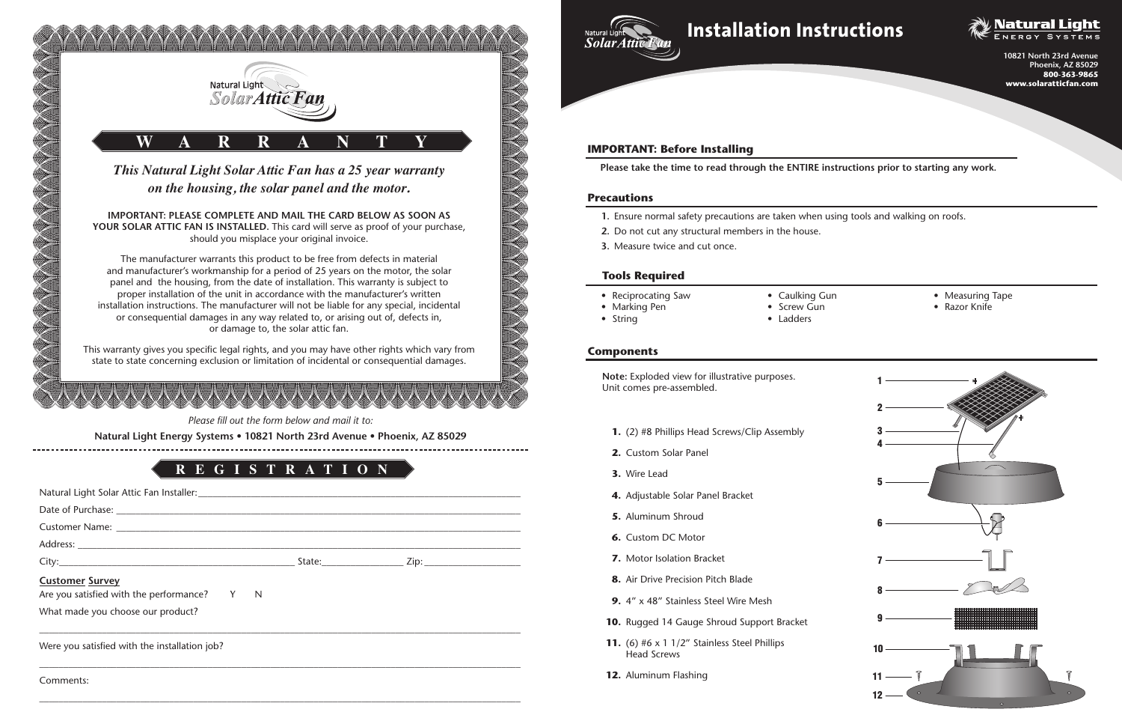*This Natural Light Solar Attic Fan has a 25 year warranty on the housing, the solar panel and the motor.*

**IMPORTANT: PLEASE COMPLETE AND MAIL THE CARD BELOW AS SOON AS YOUR SOLAR ATTIC FAN IS INSTALLED.** This card will serve as proof of your purchase, should you misplace your original invoice.

The manufacturer warrants this product to be free from defects in material and manufacturer's workmanship for a period of 25 years on the motor, the solar panel and the housing, from the date of installation. This warranty is subject to proper installation of the unit in accordance with the manufacturer's written installation instructions. The manufacturer will not be liable for any special, incidental or consequential damages in any way related to, or arising out of, defects in, or damage to, the solar attic fan.

This warranty gives you specific legal rights, and you may have other rights which vary from state to state concerning exclusion or limitation of incidental or consequential damages.





| <b>Customer Survey</b><br>Are you satisfied with the performance? Y N |  |  |
|-----------------------------------------------------------------------|--|--|
| What made you choose our product?                                     |  |  |
|                                                                       |  |  |
| Were you satisfied with the installation job?                         |  |  |

 $\_$  , and the set of the set of the set of the set of the set of the set of the set of the set of the set of the set of the set of the set of the set of the set of the set of the set of the set of the set of the set of th

 $\_$  , and the set of the set of the set of the set of the set of the set of the set of the set of the set of the set of the set of the set of the set of the set of the set of the set of the set of the set of the set of th

# **Installation Instructions** *Solar Attic Fan*

Comments:

*Please fill out the form below and mail it to:*

**Natural Light Energy Systems • 10821 North 23rd Avenue • Phoenix, AZ 85029**



**Note:** Exploded view for illustrative purposes. Unit comes pre-assembled.

- **1.** (2) #8 Phillips Head Screws/Clip Assembly
- **2.** Custom Solar Panel
- **3.** Wire Lead
- **4.** Adjustable Solar Panel Bracket
- **5.** Aluminum Shroud
- **6.** Custom DC Motor
- **7.** Motor Isolation Bracket
- **8.** Air Drive Precision Pitch Blade
- **9.** 4" x 48" Stainless Steel Wire Mesh
- **10.** Rugged 14 Gauge Shroud Support Bracket
- **11.** (6) #6 x 1 1/2" Stainless Steel Phillips Head Screws
- **12.** Aluminum Flashing



- **1.** Ensure normal safety precautions are taken when using tools and walking on roofs.
- **2.** Do not cut any structural members in the house.
- **3.** Measure twice and cut once.

**Please take the time to read through the ENTIRE instructions prior to starting any work.**

# **Components**

#### **IMPORTANT: Before Installing**

#### **Precautions**

- Reciprocating Saw
- Marking Pen
- String
- 

• Caulking Gun

• Screw Gun • Ladders

- Measuring Tape
- Razor Knife

#### **Tools Required**

**10821 North 23rd Avenue Phoenix, AZ 85029 800-363-9865 www.solaratticfan.com**